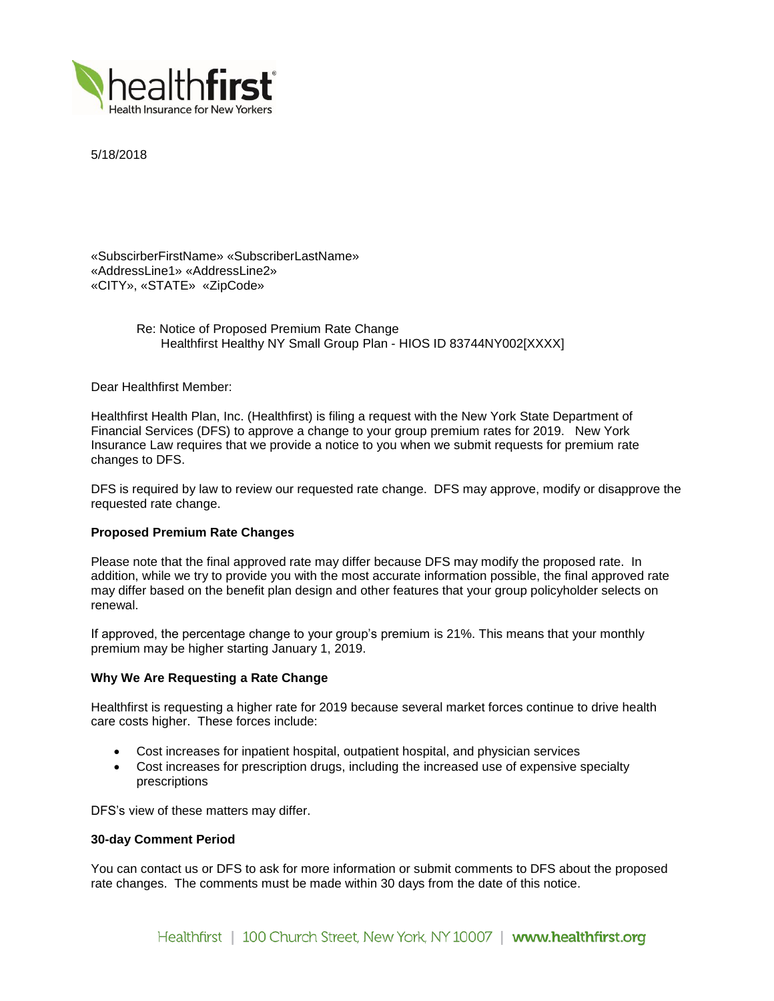

5/18/2018

«SubscirberFirstName» «SubscriberLastName» «AddressLine1» «AddressLine2» «CITY», «STATE» «ZipCode»

> Re: Notice of Proposed Premium Rate Change Healthfirst Healthy NY Small Group Plan - HIOS ID 83744NY002[XXXX]

Dear Healthfirst Member:

Healthfirst Health Plan, Inc. (Healthfirst) is filing a request with the New York State Department of Financial Services (DFS) to approve a change to your group premium rates for 2019. New York Insurance Law requires that we provide a notice to you when we submit requests for premium rate changes to DFS.

DFS is required by law to review our requested rate change. DFS may approve, modify or disapprove the requested rate change.

# **Proposed Premium Rate Changes**

Please note that the final approved rate may differ because DFS may modify the proposed rate. In addition, while we try to provide you with the most accurate information possible, the final approved rate may differ based on the benefit plan design and other features that your group policyholder selects on renewal.

If approved, the percentage change to your group's premium is 21%. This means that your monthly premium may be higher starting January 1, 2019.

## **Why We Are Requesting a Rate Change**

Healthfirst is requesting a higher rate for 2019 because several market forces continue to drive health care costs higher. These forces include:

- Cost increases for inpatient hospital, outpatient hospital, and physician services
- Cost increases for prescription drugs, including the increased use of expensive specialty prescriptions

DFS's view of these matters may differ.

## **30-day Comment Period**

You can contact us or DFS to ask for more information or submit comments to DFS about the proposed rate changes. The comments must be made within 30 days from the date of this notice.